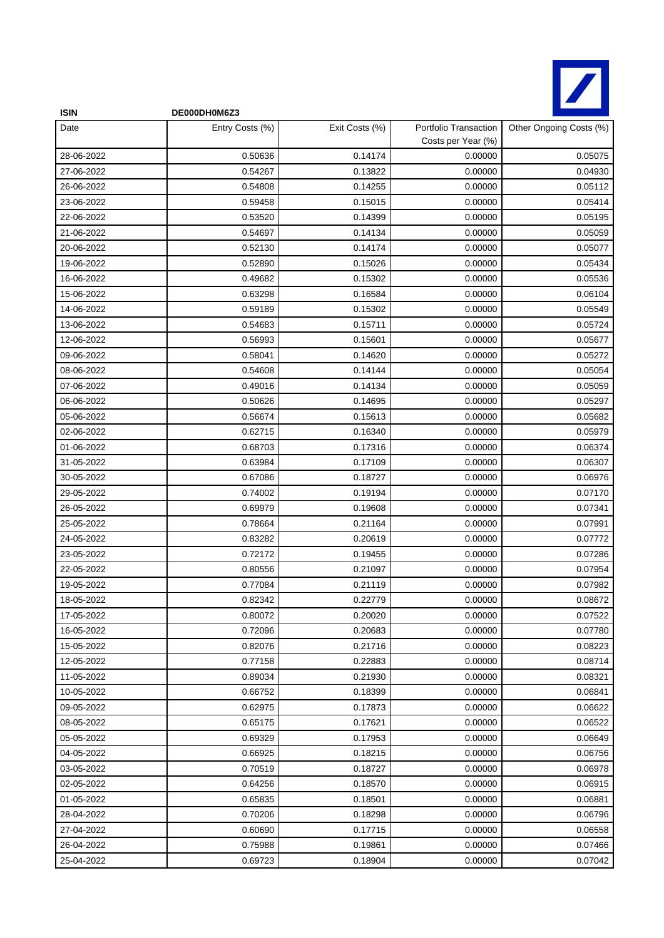

| <b>ISIN</b> | DE000DH0M6Z3    |                |                                             |                         |
|-------------|-----------------|----------------|---------------------------------------------|-------------------------|
| Date        | Entry Costs (%) | Exit Costs (%) | Portfolio Transaction<br>Costs per Year (%) | Other Ongoing Costs (%) |
| 28-06-2022  | 0.50636         | 0.14174        | 0.00000                                     | 0.05075                 |
| 27-06-2022  | 0.54267         | 0.13822        | 0.00000                                     | 0.04930                 |
| 26-06-2022  | 0.54808         | 0.14255        | 0.00000                                     | 0.05112                 |
| 23-06-2022  | 0.59458         | 0.15015        | 0.00000                                     | 0.05414                 |
| 22-06-2022  | 0.53520         | 0.14399        | 0.00000                                     | 0.05195                 |
| 21-06-2022  | 0.54697         | 0.14134        | 0.00000                                     | 0.05059                 |
| 20-06-2022  | 0.52130         | 0.14174        | 0.00000                                     | 0.05077                 |
| 19-06-2022  | 0.52890         | 0.15026        | 0.00000                                     | 0.05434                 |
| 16-06-2022  | 0.49682         | 0.15302        | 0.00000                                     | 0.05536                 |
| 15-06-2022  | 0.63298         | 0.16584        | 0.00000                                     | 0.06104                 |
| 14-06-2022  | 0.59189         | 0.15302        | 0.00000                                     | 0.05549                 |
| 13-06-2022  | 0.54683         | 0.15711        | 0.00000                                     | 0.05724                 |
| 12-06-2022  | 0.56993         | 0.15601        | 0.00000                                     | 0.05677                 |
| 09-06-2022  | 0.58041         | 0.14620        | 0.00000                                     | 0.05272                 |
| 08-06-2022  | 0.54608         | 0.14144        | 0.00000                                     | 0.05054                 |
| 07-06-2022  | 0.49016         | 0.14134        | 0.00000                                     | 0.05059                 |
| 06-06-2022  | 0.50626         | 0.14695        | 0.00000                                     | 0.05297                 |
| 05-06-2022  | 0.56674         | 0.15613        | 0.00000                                     | 0.05682                 |
| 02-06-2022  | 0.62715         | 0.16340        | 0.00000                                     | 0.05979                 |
| 01-06-2022  | 0.68703         | 0.17316        | 0.00000                                     | 0.06374                 |
| 31-05-2022  | 0.63984         | 0.17109        | 0.00000                                     | 0.06307                 |
| 30-05-2022  | 0.67086         | 0.18727        | 0.00000                                     | 0.06976                 |
| 29-05-2022  | 0.74002         | 0.19194        | 0.00000                                     | 0.07170                 |
| 26-05-2022  | 0.69979         | 0.19608        | 0.00000                                     | 0.07341                 |
| 25-05-2022  | 0.78664         | 0.21164        | 0.00000                                     | 0.07991                 |
| 24-05-2022  | 0.83282         | 0.20619        | 0.00000                                     | 0.07772                 |
| 23-05-2022  | 0.72172         | 0.19455        | 0.00000                                     | 0.07286                 |
| 22-05-2022  | 0.80556         | 0.21097        | 0.00000                                     | 0.07954                 |
| 19-05-2022  | 0.77084         | 0.21119        | 0.00000                                     | 0.07982                 |
| 18-05-2022  | 0.82342         | 0.22779        | 0.00000                                     | 0.08672                 |
| 17-05-2022  | 0.80072         | 0.20020        | 0.00000                                     | 0.07522                 |
| 16-05-2022  | 0.72096         | 0.20683        | 0.00000                                     | 0.07780                 |
| 15-05-2022  | 0.82076         | 0.21716        | 0.00000                                     | 0.08223                 |
| 12-05-2022  | 0.77158         | 0.22883        | 0.00000                                     | 0.08714                 |
| 11-05-2022  | 0.89034         | 0.21930        | 0.00000                                     | 0.08321                 |
| 10-05-2022  | 0.66752         | 0.18399        | 0.00000                                     | 0.06841                 |
| 09-05-2022  | 0.62975         | 0.17873        | 0.00000                                     | 0.06622                 |
| 08-05-2022  | 0.65175         | 0.17621        | 0.00000                                     | 0.06522                 |
| 05-05-2022  | 0.69329         | 0.17953        | 0.00000                                     | 0.06649                 |
| 04-05-2022  | 0.66925         | 0.18215        | 0.00000                                     | 0.06756                 |
| 03-05-2022  | 0.70519         | 0.18727        | 0.00000                                     | 0.06978                 |
| 02-05-2022  | 0.64256         | 0.18570        | 0.00000                                     | 0.06915                 |
| 01-05-2022  | 0.65835         | 0.18501        | 0.00000                                     | 0.06881                 |
| 28-04-2022  | 0.70206         | 0.18298        | 0.00000                                     | 0.06796                 |
| 27-04-2022  | 0.60690         | 0.17715        | 0.00000                                     | 0.06558                 |
| 26-04-2022  | 0.75988         | 0.19861        | 0.00000                                     | 0.07466                 |
| 25-04-2022  | 0.69723         | 0.18904        | 0.00000                                     | 0.07042                 |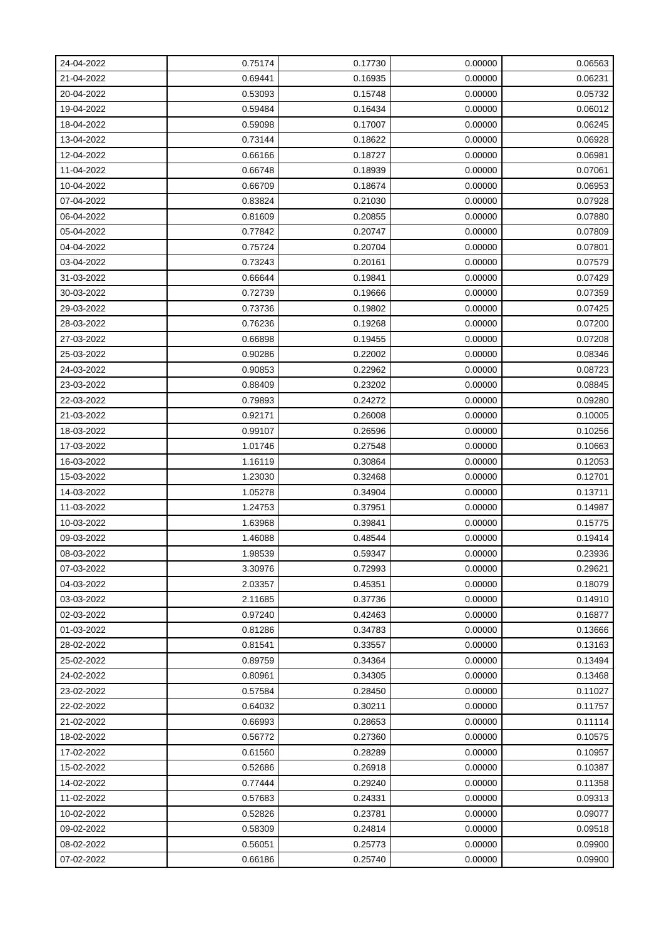| 24-04-2022 | 0.75174 | 0.17730 | 0.00000 | 0.06563 |
|------------|---------|---------|---------|---------|
| 21-04-2022 | 0.69441 | 0.16935 | 0.00000 | 0.06231 |
| 20-04-2022 | 0.53093 | 0.15748 | 0.00000 | 0.05732 |
| 19-04-2022 | 0.59484 | 0.16434 | 0.00000 | 0.06012 |
| 18-04-2022 | 0.59098 | 0.17007 | 0.00000 | 0.06245 |
| 13-04-2022 | 0.73144 | 0.18622 | 0.00000 | 0.06928 |
| 12-04-2022 | 0.66166 | 0.18727 | 0.00000 | 0.06981 |
| 11-04-2022 | 0.66748 | 0.18939 | 0.00000 | 0.07061 |
| 10-04-2022 | 0.66709 | 0.18674 | 0.00000 | 0.06953 |
| 07-04-2022 | 0.83824 | 0.21030 | 0.00000 | 0.07928 |
| 06-04-2022 | 0.81609 | 0.20855 | 0.00000 | 0.07880 |
| 05-04-2022 | 0.77842 | 0.20747 | 0.00000 | 0.07809 |
| 04-04-2022 | 0.75724 | 0.20704 | 0.00000 | 0.07801 |
| 03-04-2022 | 0.73243 | 0.20161 | 0.00000 | 0.07579 |
| 31-03-2022 | 0.66644 | 0.19841 | 0.00000 | 0.07429 |
| 30-03-2022 | 0.72739 | 0.19666 | 0.00000 | 0.07359 |
| 29-03-2022 | 0.73736 | 0.19802 | 0.00000 | 0.07425 |
| 28-03-2022 | 0.76236 | 0.19268 | 0.00000 | 0.07200 |
| 27-03-2022 | 0.66898 | 0.19455 | 0.00000 | 0.07208 |
| 25-03-2022 | 0.90286 | 0.22002 | 0.00000 | 0.08346 |
| 24-03-2022 | 0.90853 | 0.22962 | 0.00000 | 0.08723 |
| 23-03-2022 | 0.88409 | 0.23202 | 0.00000 | 0.08845 |
| 22-03-2022 | 0.79893 | 0.24272 | 0.00000 | 0.09280 |
| 21-03-2022 | 0.92171 | 0.26008 | 0.00000 | 0.10005 |
| 18-03-2022 | 0.99107 | 0.26596 | 0.00000 | 0.10256 |
| 17-03-2022 | 1.01746 | 0.27548 | 0.00000 | 0.10663 |
| 16-03-2022 | 1.16119 | 0.30864 | 0.00000 | 0.12053 |
| 15-03-2022 | 1.23030 | 0.32468 | 0.00000 | 0.12701 |
| 14-03-2022 | 1.05278 | 0.34904 | 0.00000 | 0.13711 |
| 11-03-2022 | 1.24753 | 0.37951 | 0.00000 | 0.14987 |
| 10-03-2022 | 1.63968 | 0.39841 | 0.00000 | 0.15775 |
| 09-03-2022 | 1.46088 | 0.48544 | 0.00000 | 0.19414 |
| 08-03-2022 | 1.98539 | 0.59347 | 0.00000 | 0.23936 |
| 07-03-2022 | 3.30976 | 0.72993 | 0.00000 | 0.29621 |
| 04-03-2022 | 2.03357 | 0.45351 | 0.00000 | 0.18079 |
| 03-03-2022 | 2.11685 | 0.37736 | 0.00000 | 0.14910 |
| 02-03-2022 | 0.97240 | 0.42463 | 0.00000 | 0.16877 |
| 01-03-2022 | 0.81286 | 0.34783 | 0.00000 | 0.13666 |
| 28-02-2022 | 0.81541 | 0.33557 | 0.00000 | 0.13163 |
| 25-02-2022 | 0.89759 | 0.34364 | 0.00000 | 0.13494 |
| 24-02-2022 | 0.80961 | 0.34305 | 0.00000 | 0.13468 |
| 23-02-2022 | 0.57584 | 0.28450 | 0.00000 | 0.11027 |
| 22-02-2022 | 0.64032 | 0.30211 | 0.00000 | 0.11757 |
| 21-02-2022 | 0.66993 | 0.28653 | 0.00000 | 0.11114 |
| 18-02-2022 | 0.56772 | 0.27360 | 0.00000 | 0.10575 |
| 17-02-2022 | 0.61560 | 0.28289 | 0.00000 | 0.10957 |
| 15-02-2022 | 0.52686 | 0.26918 | 0.00000 | 0.10387 |
| 14-02-2022 | 0.77444 | 0.29240 | 0.00000 | 0.11358 |
| 11-02-2022 | 0.57683 | 0.24331 | 0.00000 | 0.09313 |
| 10-02-2022 | 0.52826 | 0.23781 | 0.00000 | 0.09077 |
| 09-02-2022 | 0.58309 | 0.24814 | 0.00000 | 0.09518 |
| 08-02-2022 | 0.56051 | 0.25773 | 0.00000 | 0.09900 |
| 07-02-2022 | 0.66186 | 0.25740 | 0.00000 | 0.09900 |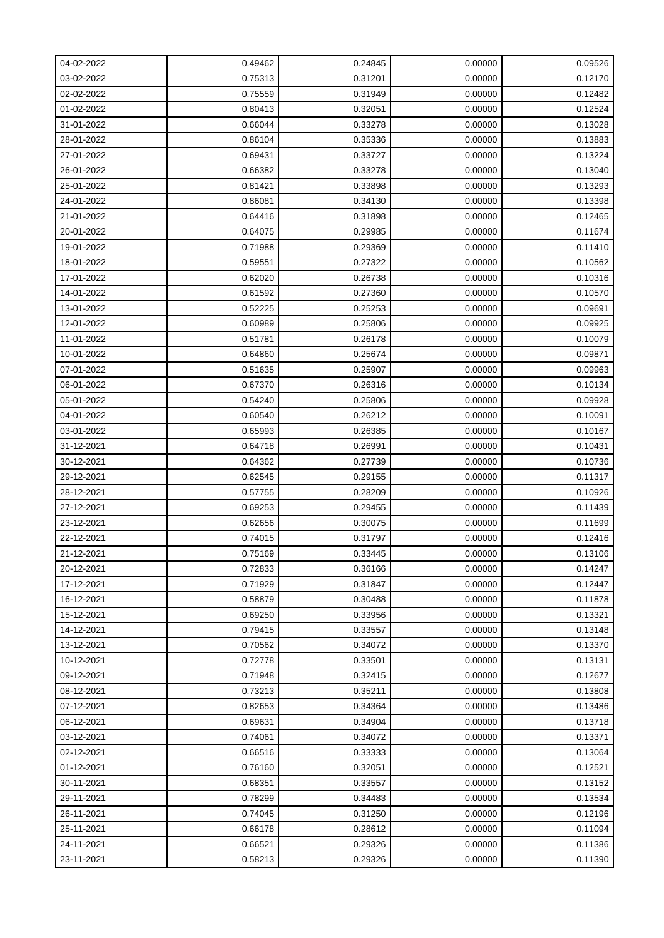| 04-02-2022 | 0.49462 | 0.24845 | 0.00000 | 0.09526 |
|------------|---------|---------|---------|---------|
| 03-02-2022 | 0.75313 | 0.31201 | 0.00000 | 0.12170 |
| 02-02-2022 | 0.75559 | 0.31949 | 0.00000 | 0.12482 |
| 01-02-2022 | 0.80413 | 0.32051 | 0.00000 | 0.12524 |
| 31-01-2022 | 0.66044 | 0.33278 | 0.00000 | 0.13028 |
| 28-01-2022 | 0.86104 | 0.35336 | 0.00000 | 0.13883 |
| 27-01-2022 | 0.69431 | 0.33727 | 0.00000 | 0.13224 |
| 26-01-2022 | 0.66382 | 0.33278 | 0.00000 | 0.13040 |
| 25-01-2022 | 0.81421 | 0.33898 | 0.00000 | 0.13293 |
| 24-01-2022 | 0.86081 | 0.34130 | 0.00000 | 0.13398 |
| 21-01-2022 | 0.64416 | 0.31898 | 0.00000 | 0.12465 |
| 20-01-2022 | 0.64075 | 0.29985 | 0.00000 | 0.11674 |
| 19-01-2022 | 0.71988 | 0.29369 | 0.00000 | 0.11410 |
| 18-01-2022 | 0.59551 | 0.27322 | 0.00000 | 0.10562 |
| 17-01-2022 | 0.62020 | 0.26738 | 0.00000 | 0.10316 |
| 14-01-2022 | 0.61592 | 0.27360 | 0.00000 | 0.10570 |
| 13-01-2022 | 0.52225 | 0.25253 | 0.00000 | 0.09691 |
| 12-01-2022 | 0.60989 | 0.25806 | 0.00000 | 0.09925 |
| 11-01-2022 | 0.51781 | 0.26178 | 0.00000 | 0.10079 |
| 10-01-2022 | 0.64860 | 0.25674 | 0.00000 | 0.09871 |
| 07-01-2022 | 0.51635 | 0.25907 | 0.00000 | 0.09963 |
| 06-01-2022 | 0.67370 | 0.26316 | 0.00000 | 0.10134 |
| 05-01-2022 | 0.54240 | 0.25806 | 0.00000 | 0.09928 |
| 04-01-2022 | 0.60540 | 0.26212 | 0.00000 | 0.10091 |
| 03-01-2022 | 0.65993 | 0.26385 | 0.00000 | 0.10167 |
| 31-12-2021 | 0.64718 | 0.26991 | 0.00000 | 0.10431 |
| 30-12-2021 | 0.64362 | 0.27739 | 0.00000 | 0.10736 |
| 29-12-2021 | 0.62545 | 0.29155 | 0.00000 | 0.11317 |
| 28-12-2021 | 0.57755 | 0.28209 | 0.00000 | 0.10926 |
| 27-12-2021 | 0.69253 | 0.29455 | 0.00000 | 0.11439 |
| 23-12-2021 | 0.62656 | 0.30075 | 0.00000 | 0.11699 |
| 22-12-2021 | 0.74015 | 0.31797 | 0.00000 | 0.12416 |
| 21-12-2021 | 0.75169 | 0.33445 | 0.00000 | 0.13106 |
| 20-12-2021 | 0.72833 | 0.36166 | 0.00000 | 0.14247 |
| 17-12-2021 | 0.71929 | 0.31847 | 0.00000 | 0.12447 |
| 16-12-2021 | 0.58879 | 0.30488 | 0.00000 | 0.11878 |
| 15-12-2021 | 0.69250 | 0.33956 | 0.00000 | 0.13321 |
| 14-12-2021 | 0.79415 | 0.33557 | 0.00000 | 0.13148 |
| 13-12-2021 | 0.70562 | 0.34072 | 0.00000 | 0.13370 |
| 10-12-2021 | 0.72778 | 0.33501 | 0.00000 | 0.13131 |
| 09-12-2021 | 0.71948 | 0.32415 | 0.00000 | 0.12677 |
| 08-12-2021 | 0.73213 | 0.35211 | 0.00000 | 0.13808 |
| 07-12-2021 | 0.82653 | 0.34364 | 0.00000 | 0.13486 |
| 06-12-2021 | 0.69631 | 0.34904 | 0.00000 | 0.13718 |
| 03-12-2021 | 0.74061 | 0.34072 | 0.00000 | 0.13371 |
| 02-12-2021 | 0.66516 | 0.33333 | 0.00000 | 0.13064 |
| 01-12-2021 | 0.76160 | 0.32051 | 0.00000 | 0.12521 |
| 30-11-2021 | 0.68351 | 0.33557 | 0.00000 | 0.13152 |
| 29-11-2021 | 0.78299 | 0.34483 | 0.00000 | 0.13534 |
| 26-11-2021 | 0.74045 | 0.31250 | 0.00000 | 0.12196 |
| 25-11-2021 | 0.66178 | 0.28612 | 0.00000 | 0.11094 |
| 24-11-2021 | 0.66521 | 0.29326 | 0.00000 | 0.11386 |
| 23-11-2021 | 0.58213 | 0.29326 | 0.00000 | 0.11390 |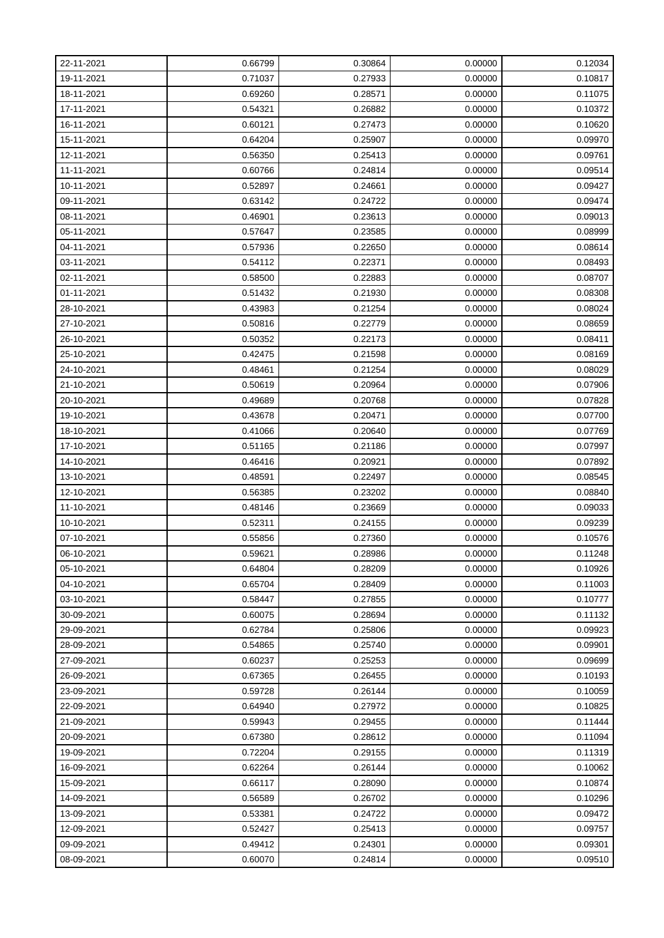| 22-11-2021 | 0.66799 | 0.30864 | 0.00000 | 0.12034 |
|------------|---------|---------|---------|---------|
| 19-11-2021 | 0.71037 | 0.27933 | 0.00000 | 0.10817 |
| 18-11-2021 | 0.69260 | 0.28571 | 0.00000 | 0.11075 |
| 17-11-2021 | 0.54321 | 0.26882 | 0.00000 | 0.10372 |
| 16-11-2021 | 0.60121 | 0.27473 | 0.00000 | 0.10620 |
| 15-11-2021 | 0.64204 | 0.25907 | 0.00000 | 0.09970 |
| 12-11-2021 | 0.56350 | 0.25413 | 0.00000 | 0.09761 |
| 11-11-2021 | 0.60766 | 0.24814 | 0.00000 | 0.09514 |
| 10-11-2021 | 0.52897 | 0.24661 | 0.00000 | 0.09427 |
| 09-11-2021 | 0.63142 | 0.24722 | 0.00000 | 0.09474 |
| 08-11-2021 | 0.46901 | 0.23613 | 0.00000 | 0.09013 |
| 05-11-2021 | 0.57647 | 0.23585 | 0.00000 | 0.08999 |
| 04-11-2021 | 0.57936 | 0.22650 | 0.00000 | 0.08614 |
| 03-11-2021 | 0.54112 | 0.22371 | 0.00000 | 0.08493 |
| 02-11-2021 | 0.58500 | 0.22883 | 0.00000 | 0.08707 |
| 01-11-2021 | 0.51432 | 0.21930 | 0.00000 | 0.08308 |
| 28-10-2021 | 0.43983 | 0.21254 | 0.00000 | 0.08024 |
| 27-10-2021 | 0.50816 | 0.22779 | 0.00000 | 0.08659 |
| 26-10-2021 | 0.50352 | 0.22173 | 0.00000 | 0.08411 |
| 25-10-2021 | 0.42475 | 0.21598 | 0.00000 | 0.08169 |
| 24-10-2021 | 0.48461 | 0.21254 | 0.00000 | 0.08029 |
| 21-10-2021 | 0.50619 | 0.20964 | 0.00000 | 0.07906 |
| 20-10-2021 | 0.49689 | 0.20768 | 0.00000 | 0.07828 |
| 19-10-2021 | 0.43678 | 0.20471 | 0.00000 | 0.07700 |
| 18-10-2021 | 0.41066 | 0.20640 | 0.00000 | 0.07769 |
| 17-10-2021 | 0.51165 | 0.21186 | 0.00000 | 0.07997 |
| 14-10-2021 | 0.46416 | 0.20921 | 0.00000 | 0.07892 |
| 13-10-2021 | 0.48591 | 0.22497 | 0.00000 | 0.08545 |
| 12-10-2021 | 0.56385 | 0.23202 | 0.00000 | 0.08840 |
| 11-10-2021 | 0.48146 | 0.23669 | 0.00000 | 0.09033 |
| 10-10-2021 | 0.52311 | 0.24155 | 0.00000 | 0.09239 |
| 07-10-2021 | 0.55856 | 0.27360 | 0.00000 | 0.10576 |
| 06-10-2021 | 0.59621 | 0.28986 | 0.00000 | 0.11248 |
| 05-10-2021 | 0.64804 | 0.28209 | 0.00000 | 0.10926 |
| 04-10-2021 | 0.65704 | 0.28409 | 0.00000 | 0.11003 |
| 03-10-2021 | 0.58447 | 0.27855 | 0.00000 | 0.10777 |
| 30-09-2021 | 0.60075 | 0.28694 | 0.00000 | 0.11132 |
| 29-09-2021 | 0.62784 | 0.25806 | 0.00000 | 0.09923 |
| 28-09-2021 | 0.54865 | 0.25740 | 0.00000 | 0.09901 |
| 27-09-2021 | 0.60237 | 0.25253 | 0.00000 | 0.09699 |
| 26-09-2021 | 0.67365 | 0.26455 | 0.00000 | 0.10193 |
| 23-09-2021 | 0.59728 | 0.26144 | 0.00000 | 0.10059 |
| 22-09-2021 | 0.64940 | 0.27972 | 0.00000 | 0.10825 |
| 21-09-2021 | 0.59943 | 0.29455 | 0.00000 | 0.11444 |
| 20-09-2021 | 0.67380 | 0.28612 | 0.00000 | 0.11094 |
| 19-09-2021 | 0.72204 | 0.29155 | 0.00000 | 0.11319 |
| 16-09-2021 | 0.62264 | 0.26144 | 0.00000 | 0.10062 |
| 15-09-2021 | 0.66117 | 0.28090 | 0.00000 | 0.10874 |
| 14-09-2021 | 0.56589 | 0.26702 | 0.00000 | 0.10296 |
| 13-09-2021 | 0.53381 | 0.24722 | 0.00000 | 0.09472 |
| 12-09-2021 | 0.52427 | 0.25413 | 0.00000 | 0.09757 |
| 09-09-2021 | 0.49412 | 0.24301 | 0.00000 | 0.09301 |
| 08-09-2021 | 0.60070 | 0.24814 | 0.00000 | 0.09510 |